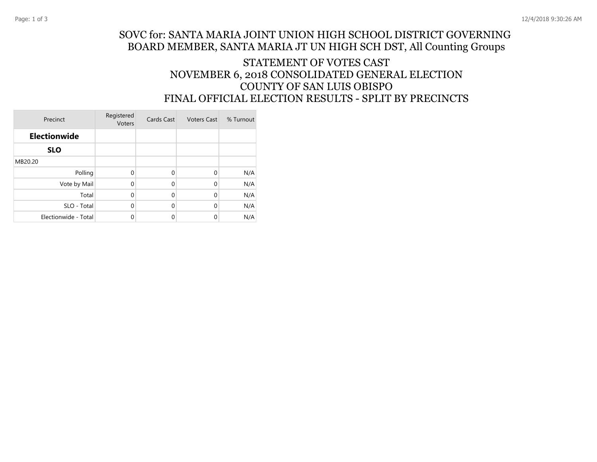## STATEMENT OF VOTES CAST NOVEMBER 6, 2018 CONSOLIDATED GENERAL ELECTION COUNTY OF SAN LUIS OBISPO FINAL OFFICIAL ELECTION RESULTS - SPLIT BY PRECINCTS

| Precinct             | Registered<br>Voters | Cards Cast  | <b>Voters Cast</b> | % Turnout |
|----------------------|----------------------|-------------|--------------------|-----------|
| <b>Electionwide</b>  |                      |             |                    |           |
| <b>SLO</b>           |                      |             |                    |           |
| MB20.20              |                      |             |                    |           |
| Polling              | $\Omega$             | $\mathbf 0$ | $\Omega$           | N/A       |
| Vote by Mail         | 0                    | $\mathbf 0$ | $\Omega$           | N/A       |
| Total                | 0                    | $\mathbf 0$ | $\Omega$           | N/A       |
| SLO - Total          | 0                    | $\mathbf 0$ | $\Omega$           | N/A       |
| Electionwide - Total | 0                    | 0           | 0                  | N/A       |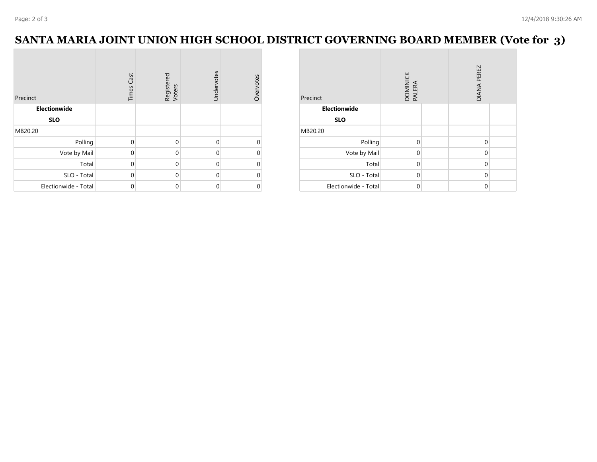## **SANTA MARIA JOINT UNION HIGH SCHOOL DISTRICT GOVERNING BOARD MEMBER (Vote for 3)**

| Precinct             | <b>Times Cast</b> | Registered<br>Voters | Undervotes | Overvotes |
|----------------------|-------------------|----------------------|------------|-----------|
| <b>Electionwide</b>  |                   |                      |            |           |
| <b>SLO</b>           |                   |                      |            |           |
| MB20.20              |                   |                      |            |           |
| Polling              | $\Omega$          | $\mathbf{0}$         | $\Omega$   | 0         |
| Vote by Mail         | $\Omega$          | $\mathbf{0}$         | $\Omega$   | 0         |
| Total                | $\mathbf{0}$      | $\mathbf{0}$         | $\Omega$   | 0         |
| SLO - Total          | $\Omega$          | $\mathbf{0}$         | $\Omega$   | 0         |
| Electionwide - Total | $\mathbf 0$       | $\mathbf 0$          | $\Omega$   | 0         |

| Precinct             | DOMINICK<br>PALERA |  | <b>DIANA PEREZ</b> |  |  |
|----------------------|--------------------|--|--------------------|--|--|
| Electionwide         |                    |  |                    |  |  |
| <b>SLO</b>           |                    |  |                    |  |  |
| MB20.20              |                    |  |                    |  |  |
| Polling              | $\mathbf 0$        |  | 0                  |  |  |
| Vote by Mail         | $\mathbf 0$        |  | $\mathbf 0$        |  |  |
| Total                | $\mathbf 0$        |  | $\mathbf 0$        |  |  |
| SLO - Total          | $\mathbf 0$        |  | $\Omega$           |  |  |
| Electionwide - Total | $\mathbf 0$        |  | 0                  |  |  |